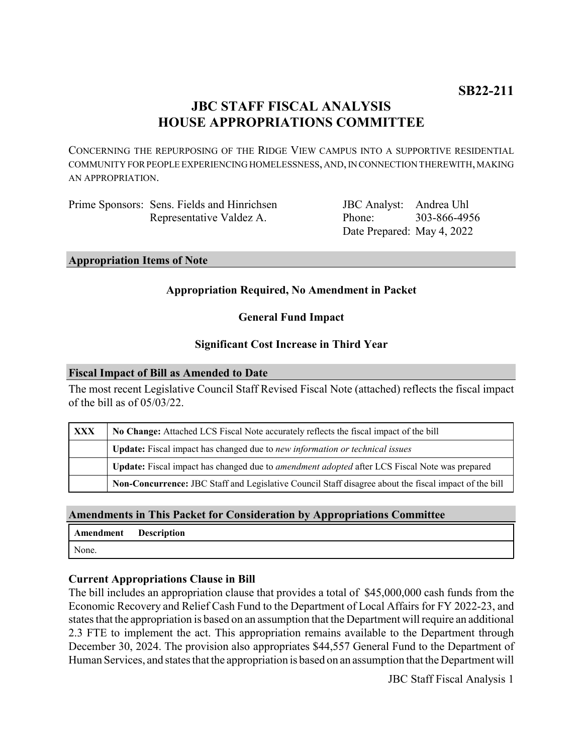# **JBC STAFF FISCAL ANALYSIS HOUSE APPROPRIATIONS COMMITTEE**

CONCERNING THE REPURPOSING OF THE RIDGE VIEW CAMPUS INTO A SUPPORTIVE RESIDENTIAL COMMUNITY FOR PEOPLE EXPERIENCING HOMELESSNESS, AND, IN CONNECTION THEREWITH, MAKING AN APPROPRIATION.

| Prime Sponsors: Sens. Fields and Hinrichsen |
|---------------------------------------------|
| Representative Valdez A.                    |

JBC Analyst: Andrea Uhl Phone: Date Prepared: May 4, 2022 303-866-4956

**Appropriation Items of Note**

# **Appropriation Required, No Amendment in Packet**

# **General Fund Impact**

#### **Significant Cost Increase in Third Year**

#### **Fiscal Impact of Bill as Amended to Date**

The most recent Legislative Council Staff Revised Fiscal Note (attached) reflects the fiscal impact of the bill as of 05/03/22.

| <b>XXX</b> | No Change: Attached LCS Fiscal Note accurately reflects the fiscal impact of the bill                 |  |
|------------|-------------------------------------------------------------------------------------------------------|--|
|            | <b>Update:</b> Fiscal impact has changed due to new information or technical issues                   |  |
|            | Update: Fiscal impact has changed due to <i>amendment adopted</i> after LCS Fiscal Note was prepared  |  |
|            | Non-Concurrence: JBC Staff and Legislative Council Staff disagree about the fiscal impact of the bill |  |

# **Amendments in This Packet for Consideration by Appropriations Committee**

| Amendment | <b>Description</b> |
|-----------|--------------------|
| None.     |                    |

#### **Current Appropriations Clause in Bill**

The bill includes an appropriation clause that provides a total of \$45,000,000 cash funds from the Economic Recovery and Relief Cash Fund to the Department of Local Affairs for FY 2022-23, and states that the appropriation is based on an assumption that the Department will require an additional 2.3 FTE to implement the act. This appropriation remains available to the Department through December 30, 2024. The provision also appropriates \$44,557 General Fund to the Department of Human Services, and states that the appropriation is based on an assumption that the Department will

JBC Staff Fiscal Analysis 1